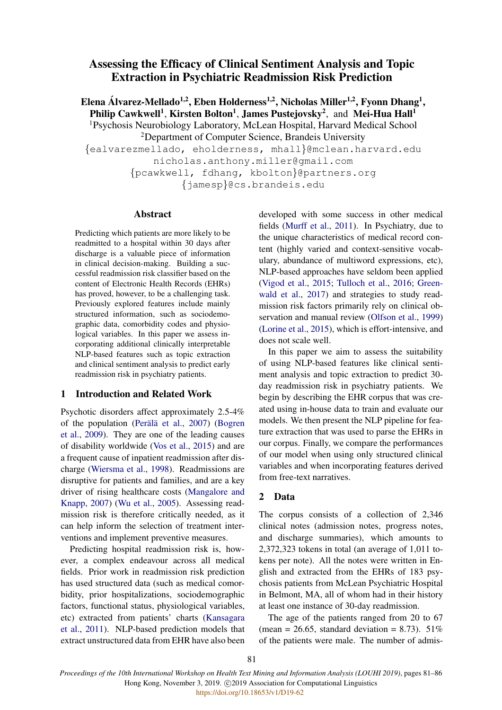# Assessing the Efficacy of Clinical Sentiment Analysis and Topic Extraction in Psychiatric Readmission Risk Prediction

Elena Álvarez-Mellado<sup>1,2</sup>, Eben Holderness<sup>1,2</sup>, Nicholas Miller<sup>1,2</sup>, Fyonn Dhang<sup>1</sup>, Philip Cawkwell<sup>1</sup>, Kirsten Bolton<sup>1</sup>, James Pustejovsky<sup>2</sup>, and Mei-Hua Hall<sup>1</sup> <sup>1</sup>Psychosis Neurobiology Laboratory, McLean Hospital, Harvard Medical School <sup>2</sup>Department of Computer Science, Brandeis University {ealvarezmellado, eholderness, mhall}@mclean.harvard.edu nicholas.anthony.miller@gmail.com {pcawkwell, fdhang, kbolton}@partners.org {jamesp}@cs.brandeis.edu

#### Abstract

Predicting which patients are more likely to be readmitted to a hospital within 30 days after discharge is a valuable piece of information in clinical decision-making. Building a successful readmission risk classifier based on the content of Electronic Health Records (EHRs) has proved, however, to be a challenging task. Previously explored features include mainly structured information, such as sociodemographic data, comorbidity codes and physiological variables. In this paper we assess incorporating additional clinically interpretable NLP-based features such as topic extraction and clinical sentiment analysis to predict early readmission risk in psychiatry patients.

# 1 Introduction and Related Work

Psychotic disorders affect approximately 2.5-4% of the population (Perälä et al., [2007\)](#page-4-0) [\(Bogren](#page-4-1) [et al.,](#page-4-1) [2009\)](#page-4-1). They are one of the leading causes of disability worldwide [\(Vos et al.,](#page-4-2) [2015\)](#page-4-2) and are a frequent cause of inpatient readmission after discharge [\(Wiersma et al.,](#page-5-0) [1998\)](#page-5-0). Readmissions are disruptive for patients and families, and are a key driver of rising healthcare costs [\(Mangalore and](#page-4-3) [Knapp,](#page-4-3) [2007\)](#page-4-3) [\(Wu et al.,](#page-5-1) [2005\)](#page-5-1). Assessing readmission risk is therefore critically needed, as it can help inform the selection of treatment interventions and implement preventive measures.

Predicting hospital readmission risk is, however, a complex endeavour across all medical fields. Prior work in readmission risk prediction has used structured data (such as medical comorbidity, prior hospitalizations, sociodemographic factors, functional status, physiological variables, etc) extracted from patients' charts [\(Kansagara](#page-4-4) [et al.,](#page-4-4) [2011\)](#page-4-4). NLP-based prediction models that extract unstructured data from EHR have also been developed with some success in other medical fields [\(Murff et al.,](#page-4-5) [2011\)](#page-4-5). In Psychiatry, due to the unique characteristics of medical record content (highly varied and context-sensitive vocabulary, abundance of multiword expressions, etc), NLP-based approaches have seldom been applied [\(Vigod et al.,](#page-4-6) [2015;](#page-4-6) [Tulloch et al.,](#page-4-7) [2016;](#page-4-7) [Green](#page-4-8)[wald et al.,](#page-4-8) [2017\)](#page-4-8) and strategies to study readmission risk factors primarily rely on clinical observation and manual review [\(Olfson et al.,](#page-4-9) [1999\)](#page-4-9) [\(Lorine et al.,](#page-4-10) [2015\)](#page-4-10), which is effort-intensive, and does not scale well.

In this paper we aim to assess the suitability of using NLP-based features like clinical sentiment analysis and topic extraction to predict 30 day readmission risk in psychiatry patients. We begin by describing the EHR corpus that was created using in-house data to train and evaluate our models. We then present the NLP pipeline for feature extraction that was used to parse the EHRs in our corpus. Finally, we compare the performances of our model when using only structured clinical variables and when incorporating features derived from free-text narratives.

#### 2 Data

The corpus consists of a collection of 2,346 clinical notes (admission notes, progress notes, and discharge summaries), which amounts to 2,372,323 tokens in total (an average of 1,011 tokens per note). All the notes were written in English and extracted from the EHRs of 183 psychosis patients from McLean Psychiatric Hospital in Belmont, MA, all of whom had in their history at least one instance of 30-day readmission.

The age of the patients ranged from 20 to 67 (mean = 26.65, standard deviation = 8.73).  $51\%$ of the patients were male. The number of admis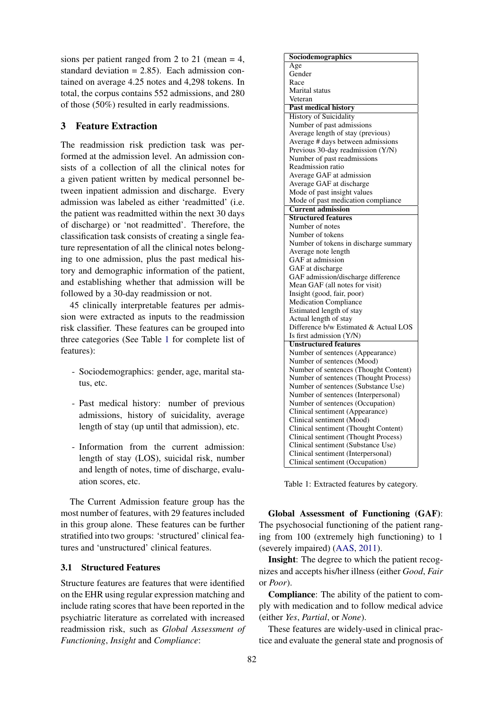sions per patient ranged from 2 to 21 (mean  $=$  4, standard deviation  $= 2.85$ . Each admission contained on average 4.25 notes and 4,298 tokens. In total, the corpus contains 552 admissions, and 280 of those (50%) resulted in early readmissions.

# 3 Feature Extraction

The readmission risk prediction task was performed at the admission level. An admission consists of a collection of all the clinical notes for a given patient written by medical personnel between inpatient admission and discharge. Every admission was labeled as either 'readmitted' (i.e. the patient was readmitted within the next 30 days of discharge) or 'not readmitted'. Therefore, the classification task consists of creating a single feature representation of all the clinical notes belonging to one admission, plus the past medical history and demographic information of the patient, and establishing whether that admission will be followed by a 30-day readmission or not.

45 clinically interpretable features per admission were extracted as inputs to the readmission risk classifier. These features can be grouped into three categories (See Table [1](#page-1-0) for complete list of features):

- Sociodemographics: gender, age, marital status, etc.
- Past medical history: number of previous admissions, history of suicidality, average length of stay (up until that admission), etc.
- Information from the current admission: length of stay (LOS), suicidal risk, number and length of notes, time of discharge, evaluation scores, etc.

The Current Admission feature group has the most number of features, with 29 features included in this group alone. These features can be further stratified into two groups: 'structured' clinical features and 'unstructured' clinical features.

## 3.1 Structured Features

Structure features are features that were identified on the EHR using regular expression matching and include rating scores that have been reported in the psychiatric literature as correlated with increased readmission risk, such as *Global Assessment of Functioning*, *Insight* and *Compliance*:

<span id="page-1-0"></span>

| Sociodemographics                     |  |  |  |
|---------------------------------------|--|--|--|
| Age                                   |  |  |  |
| Gender                                |  |  |  |
| Race                                  |  |  |  |
| Marital status                        |  |  |  |
| Veteran                               |  |  |  |
| <b>Past medical history</b>           |  |  |  |
| <b>History of Suicidality</b>         |  |  |  |
| Number of past admissions             |  |  |  |
| Average length of stay (previous)     |  |  |  |
| Average # days between admissions     |  |  |  |
| Previous 30-day readmission (Y/N)     |  |  |  |
| Number of past readmissions           |  |  |  |
| Readmission ratio                     |  |  |  |
| Average GAF at admission              |  |  |  |
| Average GAF at discharge              |  |  |  |
| Mode of past insight values           |  |  |  |
| Mode of past medication compliance    |  |  |  |
| <b>Current admission</b>              |  |  |  |
| <b>Structured features</b>            |  |  |  |
| Number of notes                       |  |  |  |
| Number of tokens                      |  |  |  |
| Number of tokens in discharge summary |  |  |  |
| Average note length                   |  |  |  |
| GAF at admission                      |  |  |  |
| GAF at discharge                      |  |  |  |
| GAF admission/discharge difference    |  |  |  |
| Mean GAF (all notes for visit)        |  |  |  |
| Insight (good, fair, poor)            |  |  |  |
| <b>Medication Compliance</b>          |  |  |  |
| Estimated length of stay              |  |  |  |
| Actual length of stay                 |  |  |  |
| Difference b/w Estimated & Actual LOS |  |  |  |
| Is first admission (Y/N)              |  |  |  |
| <b>Unstructured features</b>          |  |  |  |
| Number of sentences (Appearance)      |  |  |  |
| Number of sentences (Mood)            |  |  |  |
| Number of sentences (Thought Content) |  |  |  |
| Number of sentences (Thought Process) |  |  |  |
| Number of sentences (Substance Use)   |  |  |  |
| Number of sentences (Interpersonal)   |  |  |  |
| Number of sentences (Occupation)      |  |  |  |
| Clinical sentiment (Appearance)       |  |  |  |
| Clinical sentiment (Mood)             |  |  |  |
| Clinical sentiment (Thought Content)  |  |  |  |
| Clinical sentiment (Thought Process)  |  |  |  |
| Clinical sentiment (Substance Use)    |  |  |  |
| Clinical sentiment (Interpersonal)    |  |  |  |
| Clinical sentiment (Occupation)       |  |  |  |
|                                       |  |  |  |

Table 1: Extracted features by category.

Global Assessment of Functioning (GAF): The psychosocial functioning of the patient ranging from 100 (extremely high functioning) to 1 (severely impaired) [\(AAS,](#page-4-11) [2011\)](#page-4-11).

Insight: The degree to which the patient recognizes and accepts his/her illness (either *Good*, *Fair* or *Poor*).

Compliance: The ability of the patient to comply with medication and to follow medical advice (either *Yes*, *Partial*, or *None*).

These features are widely-used in clinical practice and evaluate the general state and prognosis of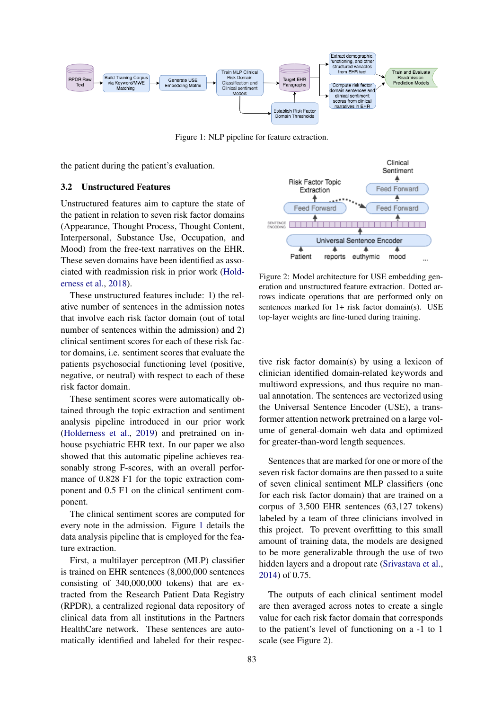<span id="page-2-0"></span>

Figure 1: NLP pipeline for feature extraction.

the patient during the patient's evaluation.

#### 3.2 Unstructured Features

Unstructured features aim to capture the state of the patient in relation to seven risk factor domains (Appearance, Thought Process, Thought Content, Interpersonal, Substance Use, Occupation, and Mood) from the free-text narratives on the EHR. These seven domains have been identified as associated with readmission risk in prior work [\(Hold](#page-4-12)[erness et al.,](#page-4-12) [2018\)](#page-4-12).

These unstructured features include: 1) the relative number of sentences in the admission notes that involve each risk factor domain (out of total number of sentences within the admission) and 2) clinical sentiment scores for each of these risk factor domains, i.e. sentiment scores that evaluate the patients psychosocial functioning level (positive, negative, or neutral) with respect to each of these risk factor domain.

These sentiment scores were automatically obtained through the topic extraction and sentiment analysis pipeline introduced in our prior work [\(Holderness et al.,](#page-4-13) [2019\)](#page-4-13) and pretrained on inhouse psychiatric EHR text. In our paper we also showed that this automatic pipeline achieves reasonably strong F-scores, with an overall performance of 0.828 F1 for the topic extraction component and 0.5 F1 on the clinical sentiment component.

The clinical sentiment scores are computed for every note in the admission. Figure [1](#page-2-0) details the data analysis pipeline that is employed for the feature extraction.

First, a multilayer perceptron (MLP) classifier is trained on EHR sentences (8,000,000 sentences consisting of 340,000,000 tokens) that are extracted from the Research Patient Data Registry (RPDR), a centralized regional data repository of clinical data from all institutions in the Partners HealthCare network. These sentences are automatically identified and labeled for their respec-



Figure 2: Model architecture for USE embedding generation and unstructured feature extraction. Dotted arrows indicate operations that are performed only on sentences marked for 1+ risk factor domain(s). USE top-layer weights are fine-tuned during training.

tive risk factor domain(s) by using a lexicon of clinician identified domain-related keywords and multiword expressions, and thus require no manual annotation. The sentences are vectorized using the Universal Sentence Encoder (USE), a transformer attention network pretrained on a large volume of general-domain web data and optimized for greater-than-word length sequences.

Sentences that are marked for one or more of the seven risk factor domains are then passed to a suite of seven clinical sentiment MLP classifiers (one for each risk factor domain) that are trained on a corpus of 3,500 EHR sentences (63,127 tokens) labeled by a team of three clinicians involved in this project. To prevent overfitting to this small amount of training data, the models are designed to be more generalizable through the use of two hidden layers and a dropout rate [\(Srivastava et al.,](#page-4-14) [2014\)](#page-4-14) of 0.75.

The outputs of each clinical sentiment model are then averaged across notes to create a single value for each risk factor domain that corresponds to the patient's level of functioning on a -1 to 1 scale (see Figure 2).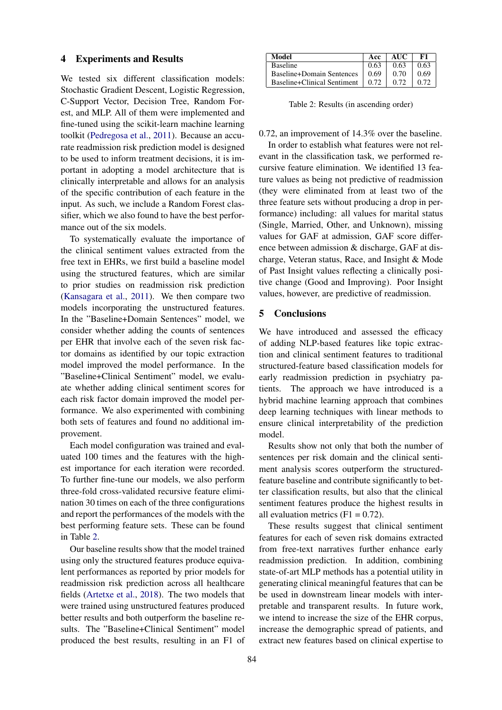#### 4 Experiments and Results

We tested six different classification models: Stochastic Gradient Descent, Logistic Regression, C-Support Vector, Decision Tree, Random Forest, and MLP. All of them were implemented and fine-tuned using the scikit-learn machine learning toolkit [\(Pedregosa et al.,](#page-4-15) [2011\)](#page-4-15). Because an accurate readmission risk prediction model is designed to be used to inform treatment decisions, it is important in adopting a model architecture that is clinically interpretable and allows for an analysis of the specific contribution of each feature in the input. As such, we include a Random Forest classifier, which we also found to have the best performance out of the six models.

To systematically evaluate the importance of the clinical sentiment values extracted from the free text in EHRs, we first build a baseline model using the structured features, which are similar to prior studies on readmission risk prediction [\(Kansagara et al.,](#page-4-4) [2011\)](#page-4-4). We then compare two models incorporating the unstructured features. In the "Baseline+Domain Sentences" model, we consider whether adding the counts of sentences per EHR that involve each of the seven risk factor domains as identified by our topic extraction model improved the model performance. In the "Baseline+Clinical Sentiment" model, we evaluate whether adding clinical sentiment scores for each risk factor domain improved the model performance. We also experimented with combining both sets of features and found no additional improvement.

Each model configuration was trained and evaluated 100 times and the features with the highest importance for each iteration were recorded. To further fine-tune our models, we also perform three-fold cross-validated recursive feature elimination 30 times on each of the three configurations and report the performances of the models with the best performing feature sets. These can be found in Table [2.](#page-3-0)

Our baseline results show that the model trained using only the structured features produce equivalent performances as reported by prior models for readmission risk prediction across all healthcare fields [\(Artetxe et al.,](#page-4-16) [2018\)](#page-4-16). The two models that were trained using unstructured features produced better results and both outperform the baseline results. The "Baseline+Clinical Sentiment" model produced the best results, resulting in an F1 of

<span id="page-3-0"></span>

| Model                              | Acc  | AUC  | - F1 |
|------------------------------------|------|------|------|
| <b>Baseline</b>                    | 0.63 | 0.63 | 0.63 |
| Baseline+Domain Sentences          | 0.69 | 0.70 | 0.69 |
| Baseline+Clinical Sentiment   0.72 |      | 0.72 | 0.72 |

Table 2: Results (in ascending order)

0.72, an improvement of 14.3% over the baseline.

In order to establish what features were not relevant in the classification task, we performed recursive feature elimination. We identified 13 feature values as being not predictive of readmission (they were eliminated from at least two of the three feature sets without producing a drop in performance) including: all values for marital status (Single, Married, Other, and Unknown), missing values for GAF at admission, GAF score difference between admission & discharge, GAF at discharge, Veteran status, Race, and Insight & Mode of Past Insight values reflecting a clinically positive change (Good and Improving). Poor Insight values, however, are predictive of readmission.

### 5 Conclusions

We have introduced and assessed the efficacy of adding NLP-based features like topic extraction and clinical sentiment features to traditional structured-feature based classification models for early readmission prediction in psychiatry patients. The approach we have introduced is a hybrid machine learning approach that combines deep learning techniques with linear methods to ensure clinical interpretability of the prediction model.

Results show not only that both the number of sentences per risk domain and the clinical sentiment analysis scores outperform the structuredfeature baseline and contribute significantly to better classification results, but also that the clinical sentiment features produce the highest results in all evaluation metrics  $(F1 = 0.72)$ .

These results suggest that clinical sentiment features for each of seven risk domains extracted from free-text narratives further enhance early readmission prediction. In addition, combining state-of-art MLP methods has a potential utility in generating clinical meaningful features that can be be used in downstream linear models with interpretable and transparent results. In future work, we intend to increase the size of the EHR corpus, increase the demographic spread of patients, and extract new features based on clinical expertise to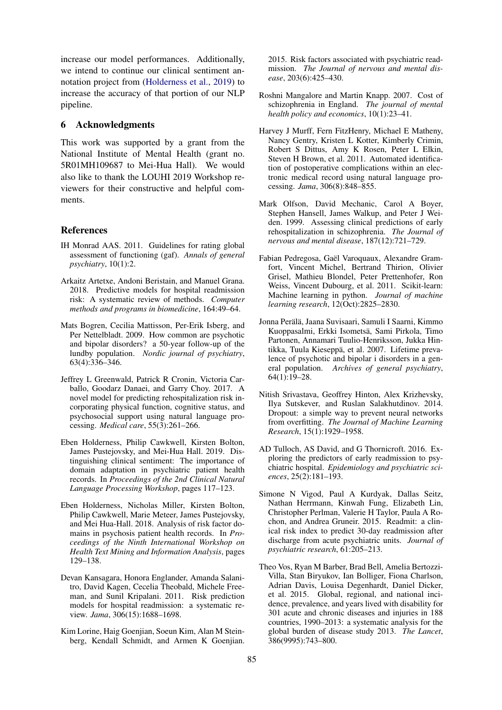increase our model performances. Additionally, we intend to continue our clinical sentiment annotation project from [\(Holderness et al.,](#page-4-13) [2019\)](#page-4-13) to increase the accuracy of that portion of our NLP pipeline.

### 6 Acknowledgments

This work was supported by a grant from the National Institute of Mental Health (grant no. 5R01MH109687 to Mei-Hua Hall). We would also like to thank the LOUHI 2019 Workshop reviewers for their constructive and helpful comments.

#### References

- <span id="page-4-11"></span>IH Monrad AAS. 2011. Guidelines for rating global assessment of functioning (gaf). *Annals of general psychiatry*, 10(1):2.
- <span id="page-4-16"></span>Arkaitz Artetxe, Andoni Beristain, and Manuel Grana. 2018. Predictive models for hospital readmission risk: A systematic review of methods. *Computer methods and programs in biomedicine*, 164:49–64.
- <span id="page-4-1"></span>Mats Bogren, Cecilia Mattisson, Per-Erik Isberg, and Per Nettelbladt. 2009. How common are psychotic and bipolar disorders? a 50-year follow-up of the lundby population. *Nordic journal of psychiatry*, 63(4):336–346.
- <span id="page-4-8"></span>Jeffrey L Greenwald, Patrick R Cronin, Victoria Carballo, Goodarz Danaei, and Garry Choy. 2017. A novel model for predicting rehospitalization risk incorporating physical function, cognitive status, and psychosocial support using natural language processing. *Medical care*, 55(3):261–266.
- <span id="page-4-13"></span>Eben Holderness, Philip Cawkwell, Kirsten Bolton, James Pustejovsky, and Mei-Hua Hall. 2019. Distinguishing clinical sentiment: The importance of domain adaptation in psychiatric patient health records. In *Proceedings of the 2nd Clinical Natural Language Processing Workshop*, pages 117–123.
- <span id="page-4-12"></span>Eben Holderness, Nicholas Miller, Kirsten Bolton, Philip Cawkwell, Marie Meteer, James Pustejovsky, and Mei Hua-Hall. 2018. Analysis of risk factor domains in psychosis patient health records. In *Proceedings of the Ninth International Workshop on Health Text Mining and Information Analysis*, pages 129–138.
- <span id="page-4-4"></span>Devan Kansagara, Honora Englander, Amanda Salanitro, David Kagen, Cecelia Theobald, Michele Freeman, and Sunil Kripalani. 2011. Risk prediction models for hospital readmission: a systematic review. *Jama*, 306(15):1688–1698.
- <span id="page-4-10"></span>Kim Lorine, Haig Goenjian, Soeun Kim, Alan M Steinberg, Kendall Schmidt, and Armen K Goenjian.

2015. Risk factors associated with psychiatric readmission. *The Journal of nervous and mental disease*, 203(6):425–430.

- <span id="page-4-3"></span>Roshni Mangalore and Martin Knapp. 2007. Cost of schizophrenia in England. *The journal of mental health policy and economics*, 10(1):23–41.
- <span id="page-4-5"></span>Harvey J Murff, Fern FitzHenry, Michael E Matheny, Nancy Gentry, Kristen L Kotter, Kimberly Crimin, Robert S Dittus, Amy K Rosen, Peter L Elkin, Steven H Brown, et al. 2011. Automated identification of postoperative complications within an electronic medical record using natural language processing. *Jama*, 306(8):848–855.
- <span id="page-4-9"></span>Mark Olfson, David Mechanic, Carol A Boyer, Stephen Hansell, James Walkup, and Peter J Weiden. 1999. Assessing clinical predictions of early rehospitalization in schizophrenia. *The Journal of nervous and mental disease*, 187(12):721–729.
- <span id="page-4-15"></span>Fabian Pedregosa, Gaël Varoquaux, Alexandre Gramfort, Vincent Michel, Bertrand Thirion, Olivier Grisel, Mathieu Blondel, Peter Prettenhofer, Ron Weiss, Vincent Dubourg, et al. 2011. Scikit-learn: Machine learning in python. *Journal of machine learning research*, 12(Oct):2825–2830.
- <span id="page-4-0"></span>Jonna Perälä, Jaana Suvisaari, Samuli I Saarni, Kimmo Kuoppasalmi, Erkki Isometsä, Sami Pirkola, Timo Partonen, Annamari Tuulio-Henriksson, Jukka Hintikka, Tuula Kieseppä, et al. 2007. Lifetime prevalence of psychotic and bipolar i disorders in a general population. *Archives of general psychiatry*, 64(1):19–28.
- <span id="page-4-14"></span>Nitish Srivastava, Geoffrey Hinton, Alex Krizhevsky, Ilya Sutskever, and Ruslan Salakhutdinov. 2014. Dropout: a simple way to prevent neural networks from overfitting. *The Journal of Machine Learning Research*, 15(1):1929–1958.
- <span id="page-4-7"></span>AD Tulloch, AS David, and G Thornicroft. 2016. Exploring the predictors of early readmission to psychiatric hospital. *Epidemiology and psychiatric sciences*, 25(2):181–193.
- <span id="page-4-6"></span>Simone N Vigod, Paul A Kurdyak, Dallas Seitz, Nathan Herrmann, Kinwah Fung, Elizabeth Lin, Christopher Perlman, Valerie H Taylor, Paula A Rochon, and Andrea Gruneir. 2015. Readmit: a clinical risk index to predict 30-day readmission after discharge from acute psychiatric units. *Journal of psychiatric research*, 61:205–213.
- <span id="page-4-2"></span>Theo Vos, Ryan M Barber, Brad Bell, Amelia Bertozzi-Villa, Stan Biryukov, Ian Bolliger, Fiona Charlson, Adrian Davis, Louisa Degenhardt, Daniel Dicker, et al. 2015. Global, regional, and national incidence, prevalence, and years lived with disability for 301 acute and chronic diseases and injuries in 188 countries, 1990–2013: a systematic analysis for the global burden of disease study 2013. *The Lancet*, 386(9995):743–800.